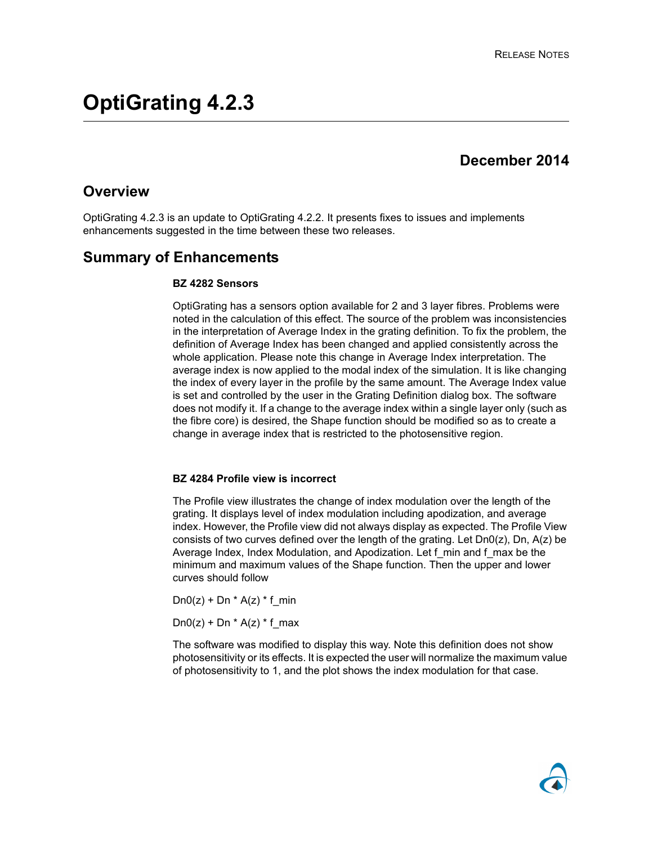# **December 2014**

## **Overview**

OptiGrating 4.2.3 is an update to OptiGrating 4.2.2. It presents fixes to issues and implements enhancements suggested in the time between these two releases.

## **Summary of Enhancements**

#### **BZ 4282 Sensors**

OptiGrating has a sensors option available for 2 and 3 layer fibres. Problems were noted in the calculation of this effect. The source of the problem was inconsistencies in the interpretation of Average Index in the grating definition. To fix the problem, the definition of Average Index has been changed and applied consistently across the whole application. Please note this change in Average Index interpretation. The average index is now applied to the modal index of the simulation. It is like changing the index of every layer in the profile by the same amount. The Average Index value is set and controlled by the user in the Grating Definition dialog box. The software does not modify it. If a change to the average index within a single layer only (such as the fibre core) is desired, the Shape function should be modified so as to create a change in average index that is restricted to the photosensitive region.

#### **BZ 4284 Profile view is incorrect**

The Profile view illustrates the change of index modulation over the length of the grating. It displays level of index modulation including apodization, and average index. However, the Profile view did not always display as expected. The Profile View consists of two curves defined over the length of the grating. Let  $DnO(z)$ , Dn, A(z) be Average Index, Index Modulation, and Apodization. Let f min and f max be the minimum and maximum values of the Shape function. Then the upper and lower curves should follow

 $Dn0(z) + Dn * A(z) * f$  min

 $Dn0(z) + Dn * A(z) * f_max$ 

The software was modified to display this way. Note this definition does not show photosensitivity or its effects. It is expected the user will normalize the maximum value of photosensitivity to 1, and the plot shows the index modulation for that case.

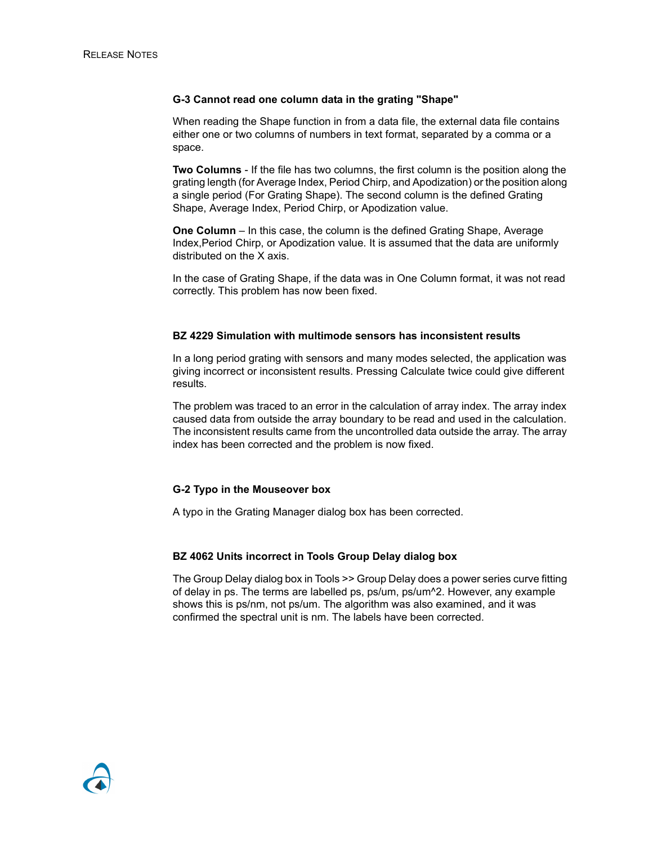#### **G-3 Cannot read one column data in the grating "Shape"**

When reading the Shape function in from a data file, the external data file contains either one or two columns of numbers in text format, separated by a comma or a space.

**Two Columns** - If the file has two columns, the first column is the position along the grating length (for Average Index, Period Chirp, and Apodization) or the position along a single period (For Grating Shape). The second column is the defined Grating Shape, Average Index, Period Chirp, or Apodization value.

**One Column** – In this case, the column is the defined Grating Shape, Average Index,Period Chirp, or Apodization value. It is assumed that the data are uniformly distributed on the X axis.

In the case of Grating Shape, if the data was in One Column format, it was not read correctly. This problem has now been fixed.

#### **BZ 4229 Simulation with multimode sensors has inconsistent results**

In a long period grating with sensors and many modes selected, the application was giving incorrect or inconsistent results. Pressing Calculate twice could give different results.

The problem was traced to an error in the calculation of array index. The array index caused data from outside the array boundary to be read and used in the calculation. The inconsistent results came from the uncontrolled data outside the array. The array index has been corrected and the problem is now fixed.

#### **G-2 Typo in the Mouseover box**

A typo in the Grating Manager dialog box has been corrected.

#### **BZ 4062 Units incorrect in Tools Group Delay dialog box**

The Group Delay dialog box in Tools >> Group Delay does a power series curve fitting of delay in ps. The terms are labelled ps, ps/um, ps/um^2. However, any example shows this is ps/nm, not ps/um. The algorithm was also examined, and it was confirmed the spectral unit is nm. The labels have been corrected.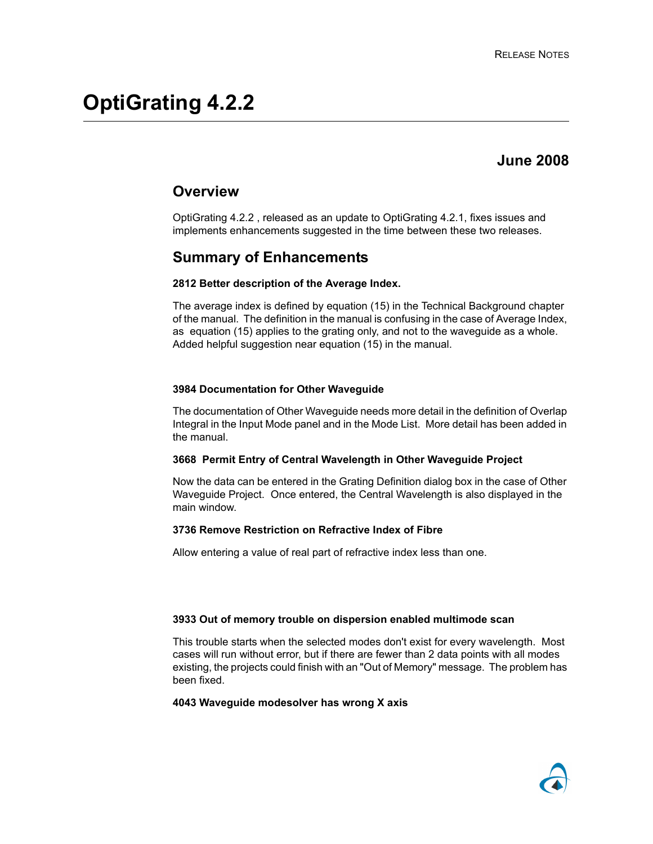# **June 2008**

## **Overview**

OptiGrating 4.2.2 , released as an update to OptiGrating 4.2.1, fixes issues and implements enhancements suggested in the time between these two releases.

## **Summary of Enhancements**

#### **2812 Better description of the Average Index.**

The average index is defined by equation (15) in the Technical Background chapter of the manual. The definition in the manual is confusing in the case of Average Index, as equation (15) applies to the grating only, and not to the waveguide as a whole. Added helpful suggestion near equation (15) in the manual.

#### **3984 Documentation for Other Waveguide**

The documentation of Other Waveguide needs more detail in the definition of Overlap Integral in the Input Mode panel and in the Mode List. More detail has been added in the manual.

#### **3668 Permit Entry of Central Wavelength in Other Waveguide Project**

Now the data can be entered in the Grating Definition dialog box in the case of Other Waveguide Project. Once entered, the Central Wavelength is also displayed in the main window.

#### **3736 Remove Restriction on Refractive Index of Fibre**

Allow entering a value of real part of refractive index less than one.

#### **3933 Out of memory trouble on dispersion enabled multimode scan**

This trouble starts when the selected modes don't exist for every wavelength. Most cases will run without error, but if there are fewer than 2 data points with all modes existing, the projects could finish with an "Out of Memory" message. The problem has been fixed.

#### **4043 Waveguide modesolver has wrong X axis**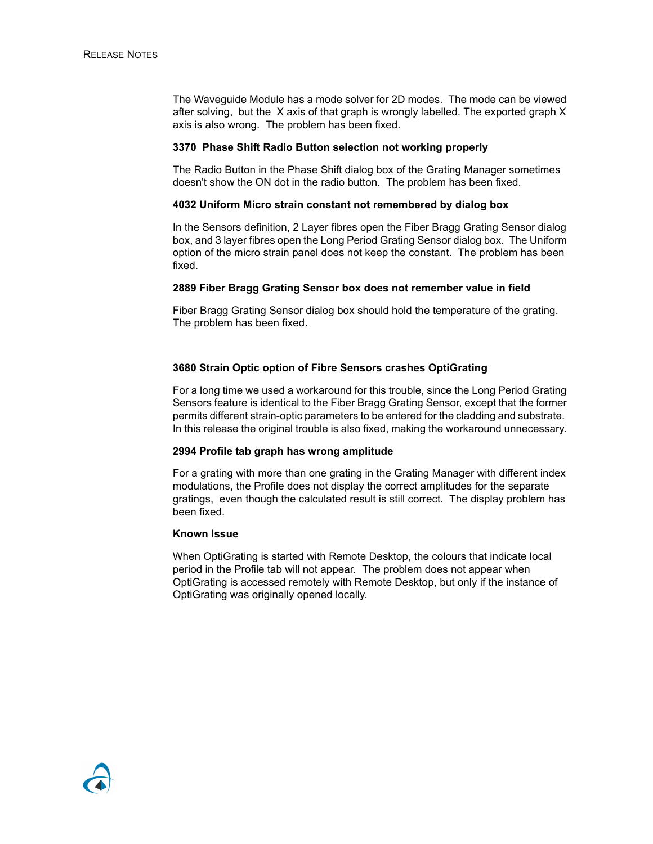The Waveguide Module has a mode solver for 2D modes. The mode can be viewed after solving, but the X axis of that graph is wrongly labelled. The exported graph X axis is also wrong. The problem has been fixed.

#### **3370 Phase Shift Radio Button selection not working properly**

The Radio Button in the Phase Shift dialog box of the Grating Manager sometimes doesn't show the ON dot in the radio button. The problem has been fixed.

#### **4032 Uniform Micro strain constant not remembered by dialog box**

In the Sensors definition, 2 Layer fibres open the Fiber Bragg Grating Sensor dialog box, and 3 layer fibres open the Long Period Grating Sensor dialog box. The Uniform option of the micro strain panel does not keep the constant. The problem has been fixed.

#### **2889 Fiber Bragg Grating Sensor box does not remember value in field**

Fiber Bragg Grating Sensor dialog box should hold the temperature of the grating. The problem has been fixed.

#### **3680 Strain Optic option of Fibre Sensors crashes OptiGrating**

For a long time we used a workaround for this trouble, since the Long Period Grating Sensors feature is identical to the Fiber Bragg Grating Sensor, except that the former permits different strain-optic parameters to be entered for the cladding and substrate. In this release the original trouble is also fixed, making the workaround unnecessary.

#### **2994 Profile tab graph has wrong amplitude**

For a grating with more than one grating in the Grating Manager with different index modulations, the Profile does not display the correct amplitudes for the separate gratings, even though the calculated result is still correct. The display problem has been fixed.

#### **Known Issue**

When OptiGrating is started with Remote Desktop, the colours that indicate local period in the Profile tab will not appear. The problem does not appear when OptiGrating is accessed remotely with Remote Desktop, but only if the instance of OptiGrating was originally opened locally.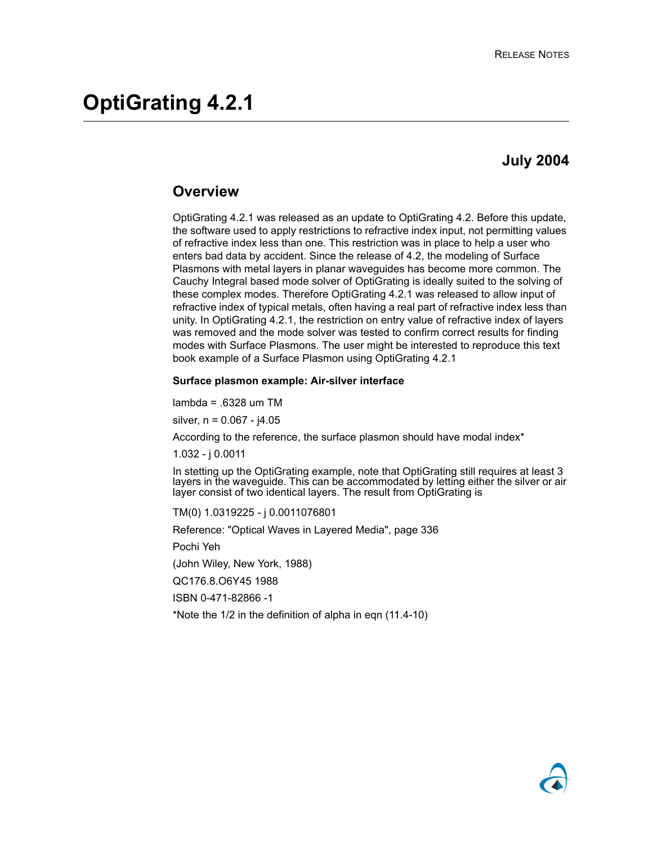## **July 2004**

### **Overview**

OptiGrating 4.2.1 was released as an update to OptiGrating 4.2. Before this update, the software used to apply restrictions to refractive index input, not permitting values of refractive index less than one. This restriction was in place to help a user who enters bad data by accident. Since the release of 4.2, the modeling of Surface Plasmons with metal layers in planar waveguides has become more common. The Cauchy Integral based mode solver of OptiGrating is ideally suited to the solving of these complex modes. Therefore OptiGrating 4.2.1 was released to allow input of refractive index of typical metals, often having a real part of refractive index less than unity. In OptiGrating 4.2.1, the restriction on entry value of refractive index of layers was removed and the mode solver was tested to confirm correct results for finding modes with Surface Plasmons. The user might be interested to reproduce this text book example of a Surface Plasmon using OptiGrating 4.2.1

#### **Surface plasmon example: Air-silver interface**

lambda = .6328 um TM

silver,  $n = 0.067 - 14.05$ 

According to the reference, the surface plasmon should have modal index\*

1.032 - j 0.0011

In stetting up the OptiGrating example, note that OptiGrating still requires at least 3 layers in the waveguide. This can be accommodated by letting either the silver or air layer consist of two identical layers. The result from OptiGrating is

TM(0) 1.0319225 - j 0.0011076801

Reference: "Optical Waves in Layered Media", page 336

Pochi Yeh

(John Wiley, New York, 1988)

QC176.8.O6Y45 1988

ISBN 0-471-82866 -1

\*Note the 1/2 in the definition of alpha in eqn (11.4-10)